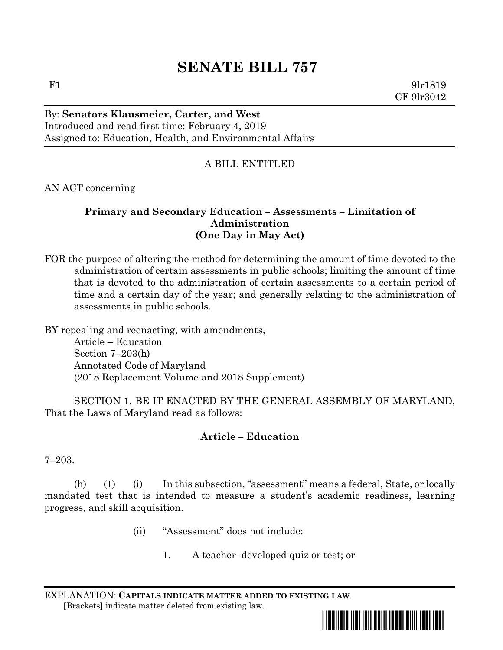# **SENATE BILL 757**

F1 9lr1819 CF 9lr3042

# By: **Senators Klausmeier, Carter, and West** Introduced and read first time: February 4, 2019 Assigned to: Education, Health, and Environmental Affairs

# A BILL ENTITLED

AN ACT concerning

## **Primary and Secondary Education – Assessments – Limitation of Administration (One Day in May Act)**

FOR the purpose of altering the method for determining the amount of time devoted to the administration of certain assessments in public schools; limiting the amount of time that is devoted to the administration of certain assessments to a certain period of time and a certain day of the year; and generally relating to the administration of assessments in public schools.

BY repealing and reenacting, with amendments, Article – Education

Section 7–203(h) Annotated Code of Maryland (2018 Replacement Volume and 2018 Supplement)

SECTION 1. BE IT ENACTED BY THE GENERAL ASSEMBLY OF MARYLAND, That the Laws of Maryland read as follows:

## **Article – Education**

7–203.

(h) (1) (i) In this subsection, "assessment" means a federal, State, or locally mandated test that is intended to measure a student's academic readiness, learning progress, and skill acquisition.

- (ii) "Assessment" does not include:
	- 1. A teacher–developed quiz or test; or

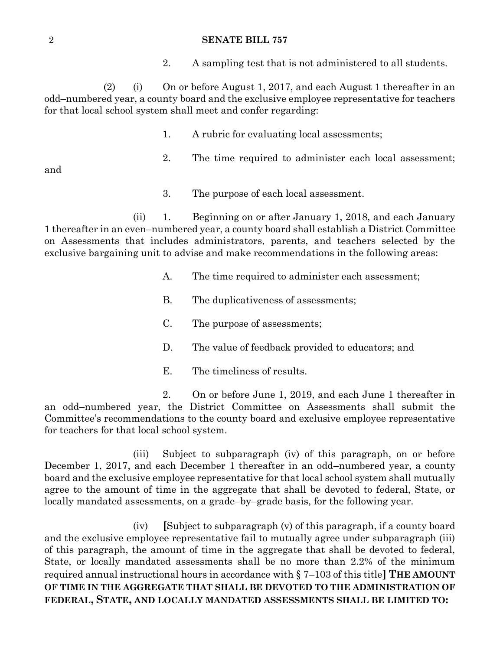#### 2 **SENATE BILL 757**

2. A sampling test that is not administered to all students.

(2) (i) On or before August 1, 2017, and each August 1 thereafter in an odd–numbered year, a county board and the exclusive employee representative for teachers for that local school system shall meet and confer regarding:

- 1. A rubric for evaluating local assessments;
- 2. The time required to administer each local assessment;

and

3. The purpose of each local assessment.

(ii) 1. Beginning on or after January 1, 2018, and each January 1 thereafter in an even–numbered year, a county board shall establish a District Committee on Assessments that includes administrators, parents, and teachers selected by the exclusive bargaining unit to advise and make recommendations in the following areas:

- A. The time required to administer each assessment;
- B. The duplicativeness of assessments;
- C. The purpose of assessments;
- D. The value of feedback provided to educators; and
- E. The timeliness of results.

2. On or before June 1, 2019, and each June 1 thereafter in an odd–numbered year, the District Committee on Assessments shall submit the Committee's recommendations to the county board and exclusive employee representative for teachers for that local school system.

(iii) Subject to subparagraph (iv) of this paragraph, on or before December 1, 2017, and each December 1 thereafter in an odd–numbered year, a county board and the exclusive employee representative for that local school system shall mutually agree to the amount of time in the aggregate that shall be devoted to federal, State, or locally mandated assessments, on a grade–by–grade basis, for the following year.

(iv) **[**Subject to subparagraph (v) of this paragraph, if a county board and the exclusive employee representative fail to mutually agree under subparagraph (iii) of this paragraph, the amount of time in the aggregate that shall be devoted to federal, State, or locally mandated assessments shall be no more than 2.2% of the minimum required annual instructional hours in accordance with § 7–103 of this title**] THE AMOUNT OF TIME IN THE AGGREGATE THAT SHALL BE DEVOTED TO THE ADMINISTRATION OF FEDERAL, STATE, AND LOCALLY MANDATED ASSESSMENTS SHALL BE LIMITED TO:**